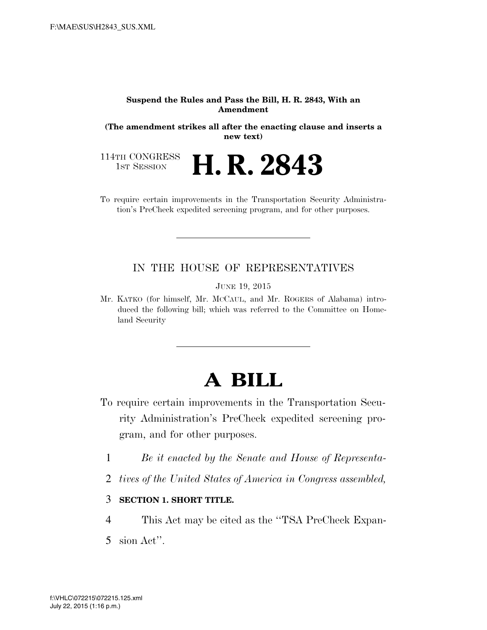#### **Suspend the Rules and Pass the Bill, H. R. 2843, With an Amendment**

**(The amendment strikes all after the enacting clause and inserts a new text)** 

114TH CONGRESS<br>1st Session H. R. 2843

To require certain improvements in the Transportation Security Administration's PreCheck expedited screening program, and for other purposes.

# IN THE HOUSE OF REPRESENTATIVES

JUNE 19, 2015

Mr. KATKO (for himself, Mr. MCCAUL, and Mr. ROGERS of Alabama) introduced the following bill; which was referred to the Committee on Homeland Security

# **A BILL**

- To require certain improvements in the Transportation Security Administration's PreCheck expedited screening program, and for other purposes.
	- 1 *Be it enacted by the Senate and House of Representa-*
	- 2 *tives of the United States of America in Congress assembled,*

### 3 **SECTION 1. SHORT TITLE.**

- 4 This Act may be cited as the ''TSA PreCheck Expan-
- 5 sion Act''.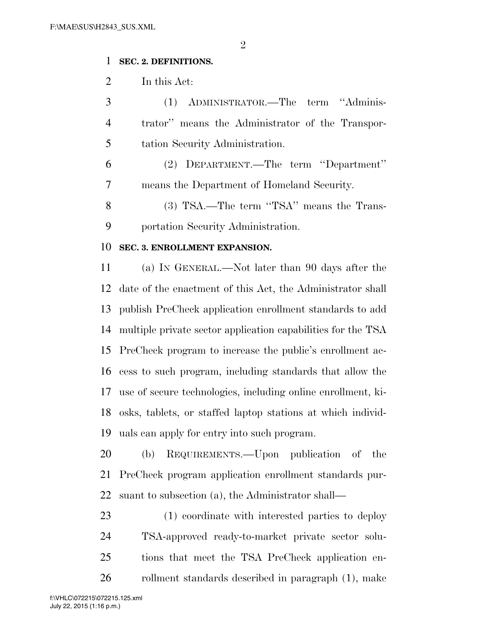### **SEC. 2. DEFINITIONS.**

In this Act:

 (1) ADMINISTRATOR.—The term ''Adminis- trator'' means the Administrator of the Transpor-tation Security Administration.

 (2) DEPARTMENT.—The term ''Department'' means the Department of Homeland Security.

 (3) TSA.—The term ''TSA'' means the Trans-portation Security Administration.

# **SEC. 3. ENROLLMENT EXPANSION.**

 (a) IN GENERAL.—Not later than 90 days after the date of the enactment of this Act, the Administrator shall publish PreCheck application enrollment standards to add multiple private sector application capabilities for the TSA PreCheck program to increase the public's enrollment ac- cess to such program, including standards that allow the use of secure technologies, including online enrollment, ki- osks, tablets, or staffed laptop stations at which individ-uals can apply for entry into such program.

 (b) REQUIREMENTS.—Upon publication of the PreCheck program application enrollment standards pur-suant to subsection (a), the Administrator shall—

 (1) coordinate with interested parties to deploy TSA-approved ready-to-market private sector solu- tions that meet the TSA PreCheck application en-rollment standards described in paragraph (1), make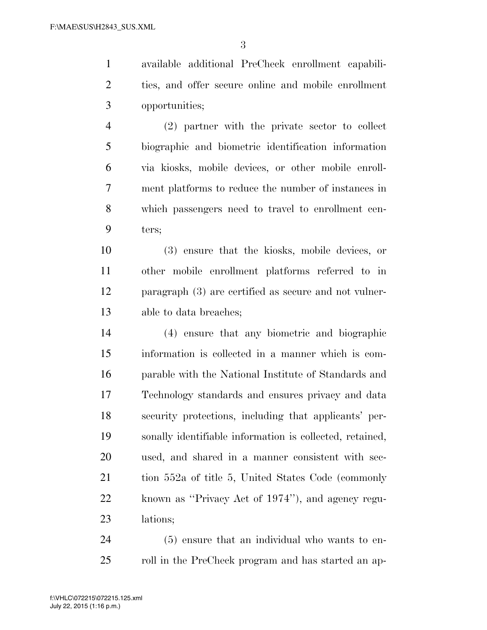available additional PreCheck enrollment capabili- ties, and offer secure online and mobile enrollment opportunities;

 (2) partner with the private sector to collect biographic and biometric identification information via kiosks, mobile devices, or other mobile enroll- ment platforms to reduce the number of instances in which passengers need to travel to enrollment cen-ters;

 (3) ensure that the kiosks, mobile devices, or other mobile enrollment platforms referred to in paragraph (3) are certified as secure and not vulner-able to data breaches;

 (4) ensure that any biometric and biographic information is collected in a manner which is com- parable with the National Institute of Standards and Technology standards and ensures privacy and data security protections, including that applicants' per- sonally identifiable information is collected, retained, used, and shared in a manner consistent with sec- tion 552a of title 5, United States Code (commonly known as ''Privacy Act of 1974''), and agency regu-lations;

 (5) ensure that an individual who wants to en-25 roll in the PreCheck program and has started an ap-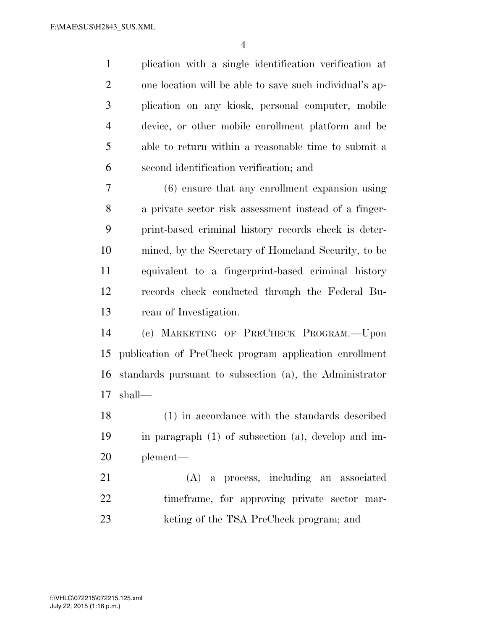plication with a single identification verification at one location will be able to save such individual's ap- plication on any kiosk, personal computer, mobile device, or other mobile enrollment platform and be able to return within a reasonable time to submit a second identification verification; and

 (6) ensure that any enrollment expansion using a private sector risk assessment instead of a finger- print-based criminal history records check is deter- mined, by the Secretary of Homeland Security, to be equivalent to a fingerprint-based criminal history records check conducted through the Federal Bu-reau of Investigation.

 (c) MARKETING OF PRECHECK PROGRAM.—Upon publication of PreCheck program application enrollment standards pursuant to subsection (a), the Administrator shall—

 (1) in accordance with the standards described in paragraph (1) of subsection (a), develop and im-plement—

 (A) a process, including an associated timeframe, for approving private sector mar-keting of the TSA PreCheck program; and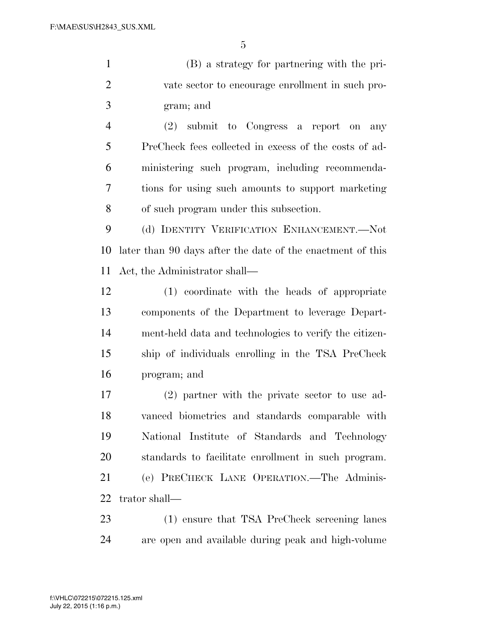(B) a strategy for partnering with the pri- vate sector to encourage enrollment in such pro-gram; and

 (2) submit to Congress a report on any PreCheck fees collected in excess of the costs of ad- ministering such program, including recommenda- tions for using such amounts to support marketing of such program under this subsection.

 (d) IDENTITY VERIFICATION ENHANCEMENT.—Not later than 90 days after the date of the enactment of this Act, the Administrator shall—

 (1) coordinate with the heads of appropriate components of the Department to leverage Depart- ment-held data and technologies to verify the citizen- ship of individuals enrolling in the TSA PreCheck program; and

 (2) partner with the private sector to use ad- vanced biometrics and standards comparable with National Institute of Standards and Technology standards to facilitate enrollment in such program. (e) PRECHECK LANE OPERATION.—The Adminis-trator shall—

 (1) ensure that TSA PreCheck screening lanes are open and available during peak and high-volume